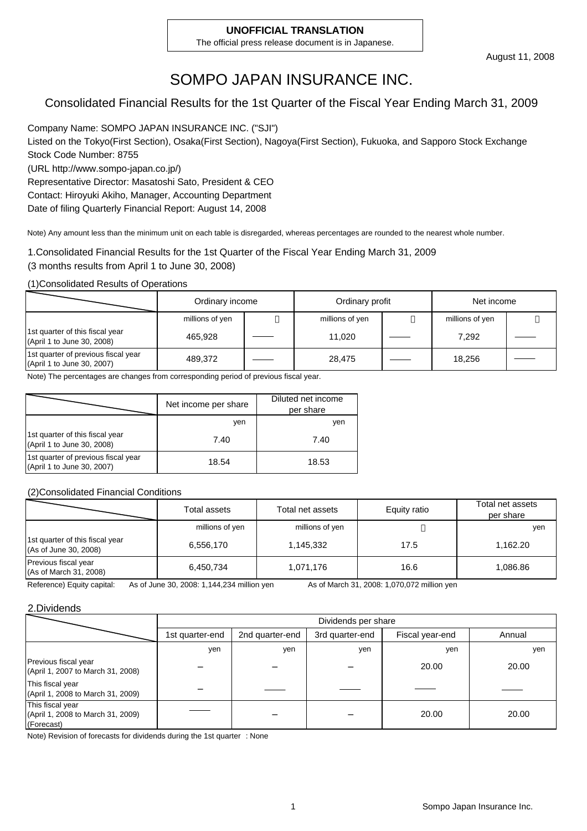#### **UNOFFICIAL TRANSLATION**

The official press release document is in Japanese.

# SOMPO JAPAN INSURANCE INC.

### Consolidated Financial Results for the 1st Quarter of the Fiscal Year Ending March 31, 2009

Company Name: SOMPO JAPAN INSURANCE INC. ("SJI") Listed on the Tokyo(First Section), Osaka(First Section), Nagoya(First Section), Fukuoka, and Sapporo Stock Exchange Stock Code Number: 8755 (URL http://www.sompo-japan.co.jp/) Representative Director: Masatoshi Sato, President & CEO Contact: Hiroyuki Akiho, Manager, Accounting Department

Date of filing Quarterly Financial Report: August 14, 2008

Note) Any amount less than the minimum unit on each table is disregarded, whereas percentages are rounded to the nearest whole number.

1.Consolidated Financial Results for the 1st Quarter of the Fiscal Year Ending March 31, 2009 (3 months results from April 1 to June 30, 2008)

(1)Consolidated Results of Operations

|                                                                   | Ordinary income |  | Ordinary profit |  | Net income |  |
|-------------------------------------------------------------------|-----------------|--|-----------------|--|------------|--|
|                                                                   | millions of yen |  | millions of yen |  |            |  |
| 1st quarter of this fiscal year<br>(April 1 to June 30, 2008)     | 465.928         |  | 11.020          |  | 7.292      |  |
| 1st quarter of previous fiscal year<br>(April 1 to June 30, 2007) | 489.372         |  | 28,475          |  | 18.256     |  |

Note) The percentages are changes from corresponding period of previous fiscal year.

|                                                                   | Net income per share | Diluted net income<br>per share |
|-------------------------------------------------------------------|----------------------|---------------------------------|
|                                                                   | yen                  | yen                             |
| 1st quarter of this fiscal year<br>(April 1 to June 30, 2008)     | 7.40                 | 7.40                            |
| 1st quarter of previous fiscal year<br>(April 1 to June 30, 2007) | 18.54                | 18.53                           |

(2)Consolidated Financial Conditions

|                                                          | Total assets    | Total net assets | Equity ratio | Total net assets<br>per share |
|----------------------------------------------------------|-----------------|------------------|--------------|-------------------------------|
|                                                          | millions of yen | millions of yen  |              | yen                           |
| 1st quarter of this fiscal year<br>(As of June 30, 2008) | 6,556,170       | 1,145,332        | 17.5         | 1.162.20                      |
| Previous fiscal year<br>(As of March 31, 2008)           | 6,450,734       | 1,071,176        | 16.6         | 1.086.86                      |

Reference) Equity capital: As of June 30, 2008: 1,144,234 million yen As of March 31, 2008: 1,070,072 million yen

#### 2.Dividends

|                                                                     |                 | Dividends per share |                 |                 |        |  |  |  |
|---------------------------------------------------------------------|-----------------|---------------------|-----------------|-----------------|--------|--|--|--|
|                                                                     | 1st quarter-end | 2nd quarter-end     | 3rd quarter-end | Fiscal year-end | Annual |  |  |  |
|                                                                     | yen             | ven                 | ven             | yen             | yen    |  |  |  |
| Previous fiscal year<br>(April 1, 2007 to March 31, 2008)           |                 |                     |                 | 20.00           | 20.00  |  |  |  |
| This fiscal year<br>(April 1, 2008 to March 31, 2009)               |                 |                     |                 |                 |        |  |  |  |
| This fiscal year<br>(April 1, 2008 to March 31, 2009)<br>(Forecast) |                 |                     |                 | 20.00           | 20.00  |  |  |  |

Note) Revision of forecasts for dividends during the 1st quarter : None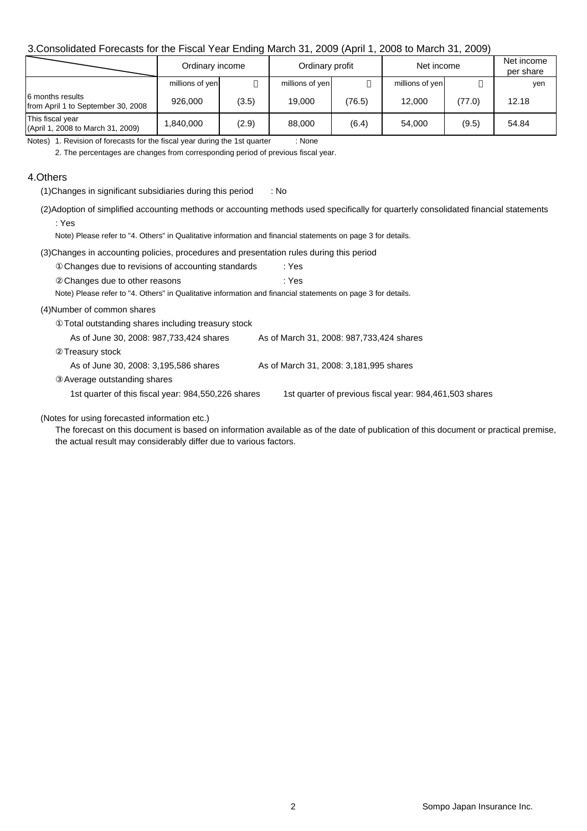### 3.Consolidated Forecasts for the Fiscal Year Ending March 31, 2009 (April 1, 2008 to March 31, 2009)

|                                                        | Ordinary income |       | Ordinary profit |        | Net income      | Net income<br>per share |       |  |
|--------------------------------------------------------|-----------------|-------|-----------------|--------|-----------------|-------------------------|-------|--|
|                                                        | millions of yen |       | millions of yen |        | millions of yen |                         | yen   |  |
| 6 months results<br>from April 1 to September 30, 2008 | 926,000         | (3.5) | 19.000          | (76.5) | 12.000          | (77.0)                  | 12.18 |  |
| This fiscal year<br>(April 1, 2008 to March 31, 2009)  | .840.000        | (2.9) | 88,000          | (6.4)  | 54.000          | (9.5)                   | 54.84 |  |

Notes) 1. Revision of forecasts for the fiscal year during the 1st quarter : None

2. The percentages are changes from corresponding period of previous fiscal year.

#### 4.Others

(1)Changes in significant subsidiaries during this period : No

(2)Adoption of simplified accounting methods or accounting methods used specifically for quarterly consolidated financial statements : Yes

Note) Please refer to "4. Others" in Qualitative information and financial statements on page 3 for details.

(3)Changes in accounting policies, procedures and presentation rules during this period

| Changes due to revisions of accounting standards                                                             | : Yes                                      |
|--------------------------------------------------------------------------------------------------------------|--------------------------------------------|
| Changes due to other reasons                                                                                 | : Yes                                      |
| Note) Please refer to "4. Others" in Qualitative information and financial statements on page 3 for details. |                                            |
| (4)Number of common shares                                                                                   |                                            |
| Total outstanding shares including treasury stock                                                            |                                            |
| As of June 30, 2008: 987, 733, 424 shares                                                                    | As of March 31, 2008: 987, 733, 424 shares |
| Treasury stock                                                                                               |                                            |
| As of June 30, 2008: 3,195,586 shares                                                                        | As of March 31, 2008: 3,181,995 shares     |
|                                                                                                              |                                            |

Average outstanding shares

1st quarter of this fiscal year: 984,550,226 shares 1st quarter of previous fiscal year: 984,461,503 shares

(Notes for using forecasted information etc.)

The forecast on this document is based on information available as of the date of publication of this document or practical premise, the actual result may considerably differ due to various factors.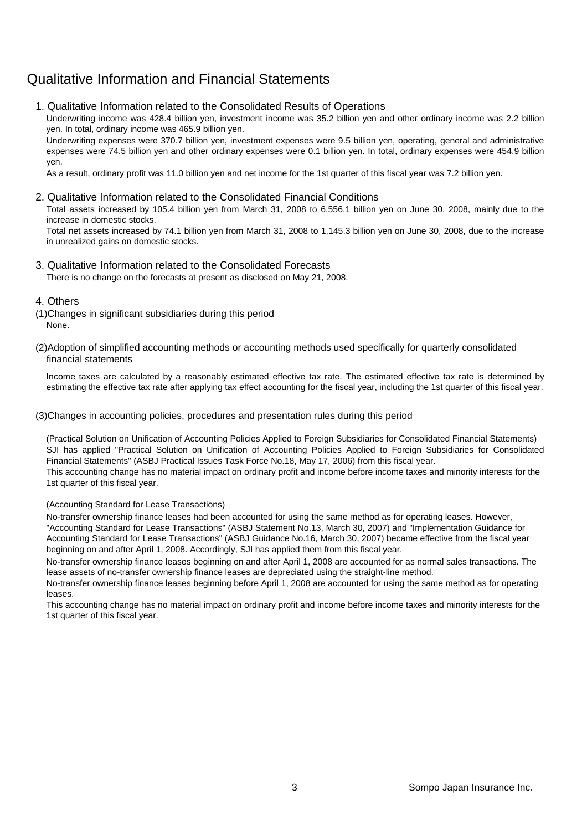## Qualitative Information and Financial Statements

1. Qualitative Information related to the Consolidated Results of Operations

Underwriting income was 428.4 billion yen, investment income was 35.2 billion yen and other ordinary income was 2.2 billion yen. In total, ordinary income was 465.9 billion yen.

Underwriting expenses were 370.7 billion yen, investment expenses were 9.5 billion yen, operating, general and administrative expenses were 74.5 billion yen and other ordinary expenses were 0.1 billion yen. In total, ordinary expenses were 454.9 billion yen.

As a result, ordinary profit was 11.0 billion yen and net income for the 1st quarter of this fiscal year was 7.2 billion yen.

#### 2. Qualitative Information related to the Consolidated Financial Conditions

Total assets increased by 105.4 billion yen from March 31, 2008 to 6,556.1 billion yen on June 30, 2008, mainly due to the increase in domestic stocks.

Total net assets increased by 74.1 billion yen from March 31, 2008 to 1,145.3 billion yen on June 30, 2008, due to the increase in unrealized gains on domestic stocks.

3. Qualitative Information related to the Consolidated Forecasts

There is no change on the forecasts at present as disclosed on May 21, 2008.

#### 4. Others

- (1)Changes in significant subsidiaries during this period None.
- (2)Adoption of simplified accounting methods or accounting methods used specifically for quarterly consolidated financial statements

Income taxes are calculated by a reasonably estimated effective tax rate. The estimated effective tax rate is determined by estimating the effective tax rate after applying tax effect accounting for the fiscal year, including the 1st quarter of this fiscal year.

#### (3)Changes in accounting policies, procedures and presentation rules during this period

(Practical Solution on Unification of Accounting Policies Applied to Foreign Subsidiaries for Consolidated Financial Statements) SJI has applied "Practical Solution on Unification of Accounting Policies Applied to Foreign Subsidiaries for Consolidated Financial Statements" (ASBJ Practical Issues Task Force No.18, May 17, 2006) from this fiscal year.

This accounting change has no material impact on ordinary profit and income before income taxes and minority interests for the 1st quarter of this fiscal year.

#### (Accounting Standard for Lease Transactions)

No-transfer ownership finance leases had been accounted for using the same method as for operating leases. However, "Accounting Standard for Lease Transactions" (ASBJ Statement No.13, March 30, 2007) and "Implementation Guidance for Accounting Standard for Lease Transactions" (ASBJ Guidance No.16, March 30, 2007) became effective from the fiscal year beginning on and after April 1, 2008. Accordingly, SJI has applied them from this fiscal year.

No-transfer ownership finance leases beginning on and after April 1, 2008 are accounted for as normal sales transactions. The lease assets of no-transfer ownership finance leases are depreciated using the straight-line method.

No-transfer ownership finance leases beginning before April 1, 2008 are accounted for using the same method as for operating leases.

This accounting change has no material impact on ordinary profit and income before income taxes and minority interests for the 1st quarter of this fiscal year.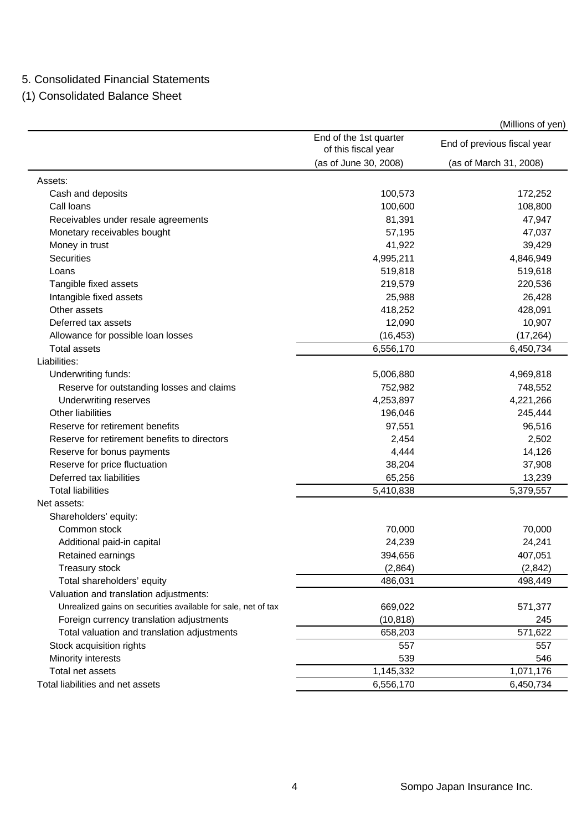### 5. Consolidated Financial Statements

(1) Consolidated Balance Sheet

|                                                               |                                               | $\mu$ ו וש $\sigma$ וט הוווויו $\sigma$ |
|---------------------------------------------------------------|-----------------------------------------------|-----------------------------------------|
|                                                               | End of the 1st quarter<br>of this fiscal year | End of previous fiscal year             |
|                                                               | (as of June 30, 2008)                         | (as of March 31, 2008)                  |
| Assets:                                                       |                                               |                                         |
| Cash and deposits                                             | 100,573                                       | 172,252                                 |
| Call loans                                                    | 100,600                                       | 108,800                                 |
| Receivables under resale agreements                           | 81,391                                        | 47,947                                  |
| Monetary receivables bought                                   | 57,195                                        | 47,037                                  |
| Money in trust                                                | 41,922                                        | 39,429                                  |
| <b>Securities</b>                                             | 4,995,211                                     | 4,846,949                               |
| Loans                                                         | 519,818                                       | 519,618                                 |
| Tangible fixed assets                                         | 219,579                                       | 220,536                                 |
| Intangible fixed assets                                       | 25,988                                        | 26,428                                  |
| Other assets                                                  | 418,252                                       | 428,091                                 |
| Deferred tax assets                                           | 12,090                                        | 10,907                                  |
| Allowance for possible loan losses                            | (16, 453)                                     | (17, 264)                               |
| <b>Total assets</b>                                           | 6,556,170                                     | 6,450,734                               |
| Liabilities:                                                  |                                               |                                         |
| Underwriting funds:                                           | 5,006,880                                     | 4,969,818                               |
| Reserve for outstanding losses and claims                     | 752,982                                       | 748,552                                 |
| Underwriting reserves                                         | 4,253,897                                     | 4,221,266                               |
| Other liabilities                                             | 196,046                                       | 245,444                                 |
| Reserve for retirement benefits                               | 97,551                                        | 96,516                                  |
| Reserve for retirement benefits to directors                  | 2,454                                         | 2,502                                   |
| Reserve for bonus payments                                    | 4,444                                         | 14,126                                  |
| Reserve for price fluctuation                                 | 38,204                                        | 37,908                                  |
| Deferred tax liabilities                                      | 65,256                                        | 13,239                                  |
| <b>Total liabilities</b>                                      | 5,410,838                                     | 5,379,557                               |
| Net assets:                                                   |                                               |                                         |
| Shareholders' equity:                                         |                                               |                                         |
| Common stock                                                  | 70,000                                        | 70,000                                  |
| Additional paid-in capital                                    | 24,239                                        | 24,241                                  |
| Retained earnings                                             | 394,656                                       | 407,051                                 |
| Treasury stock                                                | (2,864)                                       | (2, 842)                                |
| Total shareholders' equity                                    | 486,031                                       | 498,449                                 |
| Valuation and translation adjustments:                        |                                               |                                         |
| Unrealized gains on securities available for sale, net of tax | 669,022                                       | 571,377                                 |
| Foreign currency translation adjustments                      | (10, 818)                                     | 245                                     |
| Total valuation and translation adjustments                   | 658,203                                       | 571,622                                 |
| Stock acquisition rights                                      | 557                                           | 557                                     |
| Minority interests                                            | 539                                           | 546                                     |
| Total net assets                                              | 1,145,332                                     | 1,071,176                               |
| Total liabilities and net assets                              | 6,556,170                                     | 6,450,734                               |

(Millions of yen)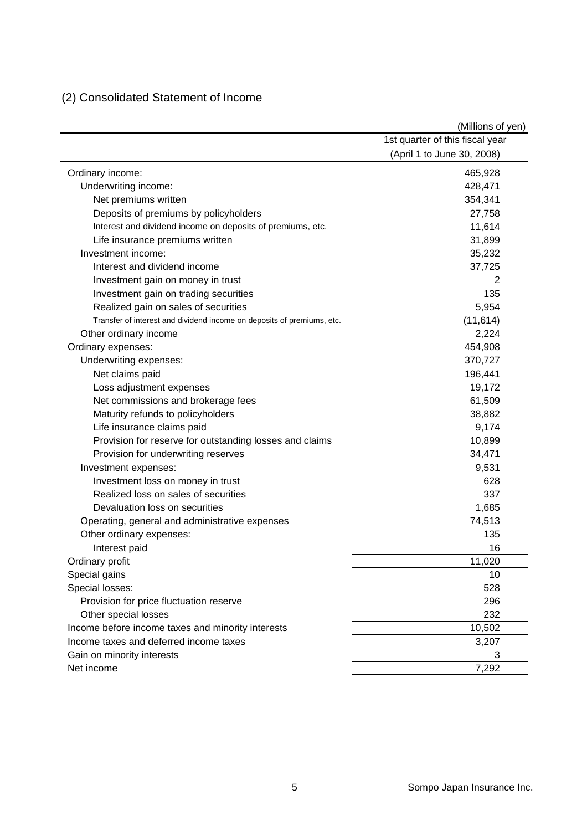## (2) Consolidated Statement of Income

|                                                                        | (Millions of yen)               |
|------------------------------------------------------------------------|---------------------------------|
|                                                                        | 1st quarter of this fiscal year |
|                                                                        | (April 1 to June 30, 2008)      |
| Ordinary income:                                                       | 465,928                         |
| Underwriting income:                                                   | 428,471                         |
| Net premiums written                                                   | 354,341                         |
| Deposits of premiums by policyholders                                  | 27,758                          |
| Interest and dividend income on deposits of premiums, etc.             | 11,614                          |
| Life insurance premiums written                                        | 31,899                          |
| Investment income:                                                     | 35,232                          |
| Interest and dividend income                                           | 37,725                          |
| Investment gain on money in trust                                      | 2                               |
| Investment gain on trading securities                                  | 135                             |
| Realized gain on sales of securities                                   | 5,954                           |
| Transfer of interest and dividend income on deposits of premiums, etc. | (11, 614)                       |
| Other ordinary income                                                  | 2,224                           |
| Ordinary expenses:                                                     | 454,908                         |
| Underwriting expenses:                                                 | 370,727                         |
| Net claims paid                                                        | 196,441                         |
| Loss adjustment expenses                                               | 19,172                          |
| Net commissions and brokerage fees                                     | 61,509                          |
| Maturity refunds to policyholders                                      | 38,882                          |
| Life insurance claims paid                                             | 9,174                           |
| Provision for reserve for outstanding losses and claims                | 10,899                          |
| Provision for underwriting reserves                                    | 34,471                          |
| Investment expenses:                                                   | 9,531                           |
| Investment loss on money in trust                                      | 628                             |
| Realized loss on sales of securities                                   | 337                             |
| Devaluation loss on securities                                         | 1,685                           |
| Operating, general and administrative expenses                         | 74,513                          |
| Other ordinary expenses:                                               | 135                             |
| Interest paid                                                          | 16                              |
| Ordinary profit                                                        | 11,020                          |
| Special gains                                                          | 10                              |
| Special losses:                                                        | 528                             |
| Provision for price fluctuation reserve                                | 296                             |
| Other special losses                                                   | 232                             |
| Income before income taxes and minority interests                      | 10,502                          |
| Income taxes and deferred income taxes                                 | 3,207                           |
| Gain on minority interests                                             | 3                               |
| Net income                                                             | 7,292                           |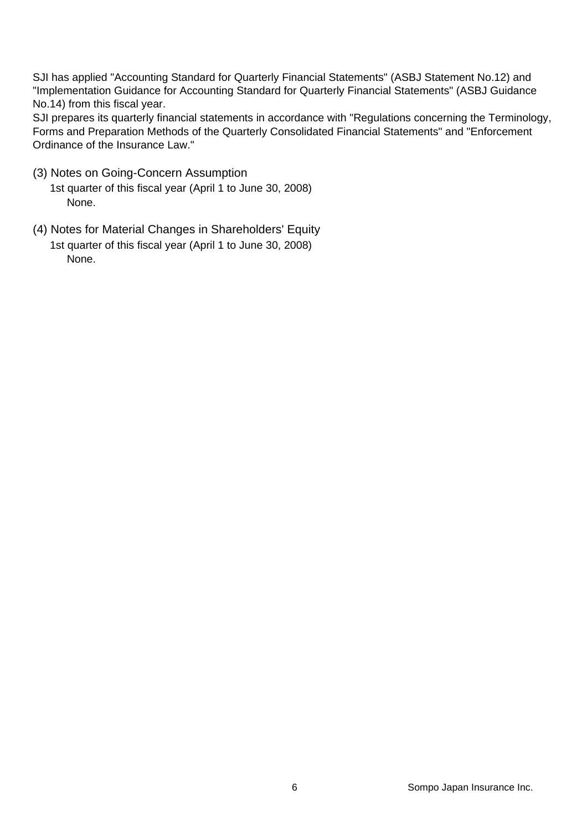SJI has applied "Accounting Standard for Quarterly Financial Statements" (ASBJ Statement No.12) and "Implementation Guidance for Accounting Standard for Quarterly Financial Statements" (ASBJ Guidance No.14) from this fiscal year.

SJI prepares its quarterly financial statements in accordance with "Regulations concerning the Terminology, Forms and Preparation Methods of the Quarterly Consolidated Financial Statements" and "Enforcement Ordinance of the Insurance Law."

- (3) Notes on Going-Concern Assumption
	- 1st quarter of this fiscal year (April 1 to June 30, 2008) None.
- (4) Notes for Material Changes in Shareholders' Equity 1st quarter of this fiscal year (April 1 to June 30, 2008) None.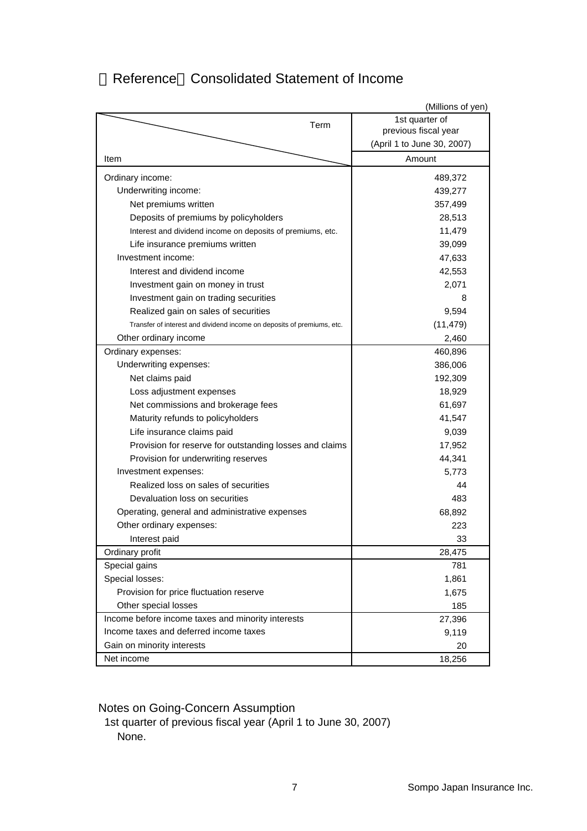## Reference Consolidated Statement of Income

|                                                                        | (Millions of yen)          |
|------------------------------------------------------------------------|----------------------------|
| Term                                                                   | 1st quarter of             |
|                                                                        | previous fiscal year       |
|                                                                        | (April 1 to June 30, 2007) |
| Item                                                                   | Amount                     |
| Ordinary income:                                                       | 489,372                    |
| Underwriting income:                                                   | 439,277                    |
| Net premiums written                                                   | 357,499                    |
| Deposits of premiums by policyholders                                  | 28,513                     |
| Interest and dividend income on deposits of premiums, etc.             | 11,479                     |
| Life insurance premiums written                                        | 39,099                     |
| Investment income:                                                     | 47,633                     |
| Interest and dividend income                                           | 42,553                     |
| Investment gain on money in trust                                      | 2,071                      |
| Investment gain on trading securities                                  | 8                          |
| Realized gain on sales of securities                                   | 9,594                      |
| Transfer of interest and dividend income on deposits of premiums, etc. | (11, 479)                  |
| Other ordinary income                                                  | 2,460                      |
| Ordinary expenses:                                                     | 460,896                    |
| Underwriting expenses:                                                 | 386,006                    |
| Net claims paid                                                        | 192,309                    |
| Loss adjustment expenses                                               | 18,929                     |
| Net commissions and brokerage fees                                     | 61,697                     |
| Maturity refunds to policyholders                                      | 41,547                     |
| Life insurance claims paid                                             | 9,039                      |
| Provision for reserve for outstanding losses and claims                | 17,952                     |
| Provision for underwriting reserves                                    | 44,341                     |
| Investment expenses:                                                   | 5,773                      |
| Realized loss on sales of securities                                   | 44                         |
| Devaluation loss on securities                                         | 483                        |
| Operating, general and administrative expenses                         | 68,892                     |
| Other ordinary expenses:                                               | 223                        |
| Interest paid                                                          | 33                         |
| Ordinary profit                                                        | 28,475                     |
| Special gains                                                          | 781                        |
| Special losses:                                                        | 1,861                      |
| Provision for price fluctuation reserve                                | 1,675                      |
| Other special losses                                                   | 185                        |
| Income before income taxes and minority interests                      | 27,396                     |
| Income taxes and deferred income taxes                                 | 9,119                      |
| Gain on minority interests                                             | 20                         |
| Net income                                                             | 18,256                     |

Notes on Going-Concern Assumption

1st quarter of previous fiscal year (April 1 to June 30, 2007) None.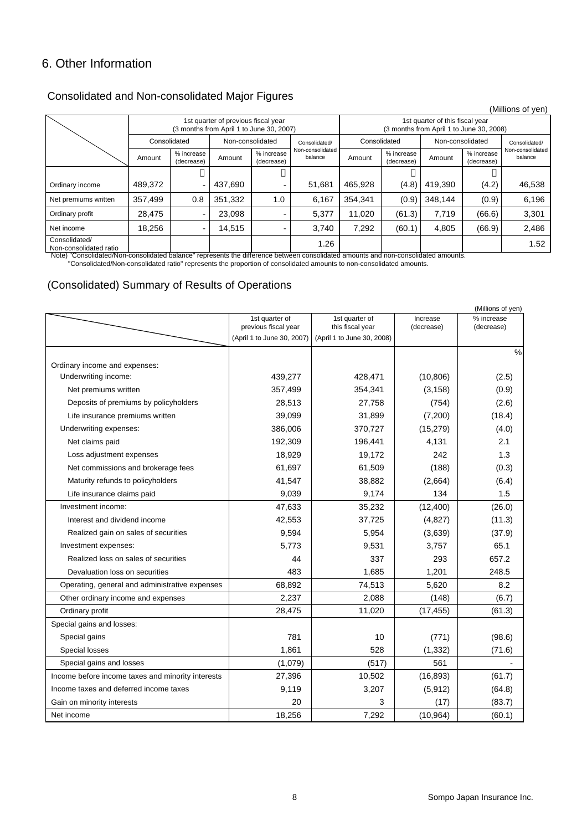### 6. Other Information

### Consolidated and Non-consolidated Major Figures

|                                                                                                                                    |         |                          |                  |                                                                                 |                             |         |                                                                             |         |                          | (Millions of yen)           |
|------------------------------------------------------------------------------------------------------------------------------------|---------|--------------------------|------------------|---------------------------------------------------------------------------------|-----------------------------|---------|-----------------------------------------------------------------------------|---------|--------------------------|-----------------------------|
|                                                                                                                                    |         |                          |                  | 1st quarter of previous fiscal year<br>(3 months from April 1 to June 30, 2007) |                             |         | 1st quarter of this fiscal year<br>(3 months from April 1 to June 30, 2008) |         |                          |                             |
|                                                                                                                                    |         | Consolidated             | Non-consolidated |                                                                                 | Consolidated/               |         | Consolidated                                                                |         | Non-consolidated         |                             |
|                                                                                                                                    | Amount  | % increase<br>(decrease) | Amount           | % increase<br>(decrease)                                                        | Non-consolidated<br>balance | Amount  | % increase<br>(decrease)                                                    | Amount  | % increase<br>(decrease) | Non-consolidated<br>balance |
|                                                                                                                                    |         |                          |                  |                                                                                 |                             |         |                                                                             |         |                          |                             |
| Ordinary income                                                                                                                    | 489.372 | ٠                        | 437.690          | -                                                                               | 51,681                      | 465.928 | (4.8)                                                                       | 419.390 | (4.2)                    | 46,538                      |
| Net premiums written                                                                                                               | 357,499 | 0.8                      | 351.332          | 1.0                                                                             | 6,167                       | 354.341 | (0.9)                                                                       | 348.144 | (0.9)                    | 6,196                       |
| Ordinary profit                                                                                                                    | 28,475  |                          | 23.098           |                                                                                 | 5,377                       | 11.020  | (61.3)                                                                      | 7,719   | (66.6)                   | 3,301                       |
| Net income                                                                                                                         | 18,256  | -                        | 14,515           | -                                                                               | 3,740                       | 7,292   | (60.1)                                                                      | 4,805   | (66.9)                   | 2,486                       |
| Consolidated/<br>Non-consolidated ratio                                                                                            |         |                          |                  |                                                                                 | 1.26                        |         |                                                                             |         |                          | 1.52                        |
| Note) "Consolidated/Non-consolidated balance" represents the difference between consolidated amounts and non-consolidated amounts. |         |                          |                  |                                                                                 |                             |         |                                                                             |         |                          |                             |

"Consolidated/Non-consolidated ratio" represents the proportion of consolidated amounts to non-consolidated amounts.

### (Consolidated) Summary of Results of Operations

|                                                       |                                                    |                                    |            | (Millions of yen) |
|-------------------------------------------------------|----------------------------------------------------|------------------------------------|------------|-------------------|
|                                                       | 1st quarter of                                     | 1st quarter of<br>this fiscal year | Increase   | % increase        |
|                                                       | previous fiscal year<br>(April 1 to June 30, 2007) | (April 1 to June 30, 2008)         | (decrease) | (decrease)        |
|                                                       |                                                    |                                    |            | $\frac{0}{0}$     |
|                                                       |                                                    |                                    |            |                   |
| Ordinary income and expenses:<br>Underwriting income: | 439,277                                            | 428,471                            | (10, 806)  | (2.5)             |
| Net premiums written                                  | 357,499                                            | 354,341                            | (3, 158)   | (0.9)             |
|                                                       | 28,513                                             | 27,758                             |            |                   |
| Deposits of premiums by policyholders                 |                                                    |                                    | (754)      | (2.6)             |
| Life insurance premiums written                       | 39,099                                             | 31,899                             | (7,200)    | (18.4)            |
| Underwriting expenses:                                | 386,006                                            | 370,727                            | (15, 279)  | (4.0)             |
| Net claims paid                                       | 192,309                                            | 196,441                            | 4,131      | 2.1               |
| Loss adjustment expenses                              | 18,929                                             | 19,172                             | 242        | 1.3               |
| Net commissions and brokerage fees                    | 61,697                                             | 61,509                             | (188)      | (0.3)             |
| Maturity refunds to policyholders                     | 41,547                                             | 38,882                             | (2,664)    | (6.4)             |
| Life insurance claims paid                            | 9,039                                              | 9,174                              | 134        | 1.5               |
| Investment income:                                    | 47,633                                             | 35,232                             | (12, 400)  | (26.0)            |
| Interest and dividend income                          | 42,553                                             | 37,725                             | (4,827)    | (11.3)            |
| Realized gain on sales of securities                  | 9,594                                              | 5,954                              | (3,639)    | (37.9)            |
| Investment expenses:                                  | 5.773                                              | 9,531                              | 3,757      | 65.1              |
| Realized loss on sales of securities                  | 44                                                 | 337                                | 293        | 657.2             |
| Devaluation loss on securities                        | 483                                                | 1,685                              | 1,201      | 248.5             |
| Operating, general and administrative expenses        | 68,892                                             | 74,513                             | 5,620      | 8.2               |
| Other ordinary income and expenses                    | 2,237                                              | 2,088                              | (148)      | (6.7)             |
| Ordinary profit                                       | 28,475                                             | 11,020                             | (17, 455)  | (61.3)            |
| Special gains and losses:                             |                                                    |                                    |            |                   |
| Special gains                                         | 781                                                | 10                                 | (771)      | (98.6)            |
| Special losses                                        | 1,861                                              | 528                                | (1, 332)   | (71.6)            |
| Special gains and losses                              | (1,079)                                            | (517)                              | 561        |                   |
| Income before income taxes and minority interests     | 27,396                                             | 10,502                             | (16, 893)  | (61.7)            |
| Income taxes and deferred income taxes                | 9,119                                              | 3,207                              | (5,912)    | (64.8)            |
| Gain on minority interests                            | 20                                                 | 3                                  | (17)       | (83.7)            |
| Net income                                            | 18,256                                             | 7,292                              | (10, 964)  | (60.1)            |

(Millions of yen)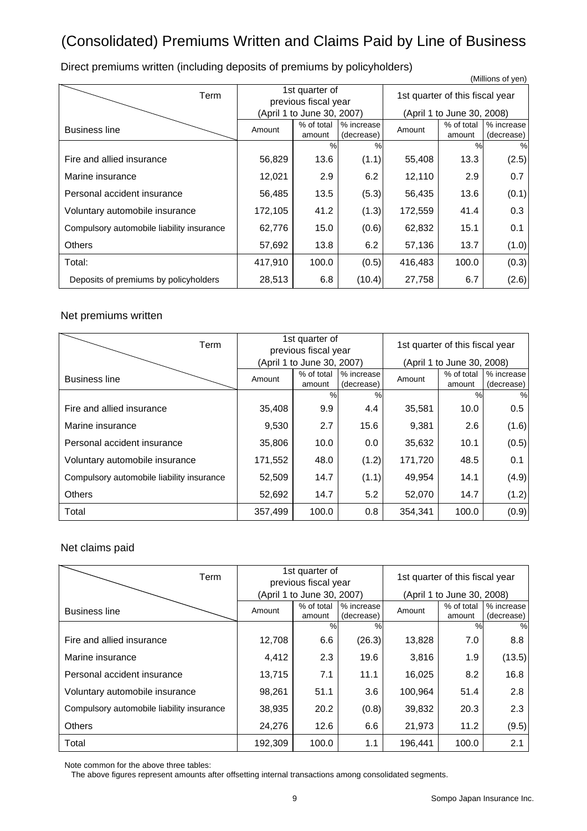# (Consolidated) Premiums Written and Claims Paid by Line of Business

|                                           |                                        |                            |                          |                                 |                            | (Millions of yen)        |  |
|-------------------------------------------|----------------------------------------|----------------------------|--------------------------|---------------------------------|----------------------------|--------------------------|--|
| Term                                      | 1st quarter of<br>previous fiscal year |                            |                          | 1st quarter of this fiscal year |                            |                          |  |
|                                           |                                        | (April 1 to June 30, 2007) |                          |                                 | (April 1 to June 30, 2008) |                          |  |
| <b>Business line</b>                      | Amount                                 | % of total<br>amount       | % increase<br>(decrease) | Amount                          | % of total<br>amount       | % increase<br>(decrease) |  |
|                                           |                                        | $\frac{0}{0}$              | %                        |                                 | $\frac{0}{0}$              | %                        |  |
| Fire and allied insurance                 | 56,829                                 | 13.6                       | (1.1)                    | 55,408                          | 13.3                       | (2.5)                    |  |
| Marine insurance                          | 12,021                                 | 2.9                        | 6.2                      | 12,110                          | 2.9                        | 0.7                      |  |
| Personal accident insurance               | 56,485                                 | 13.5                       | (5.3)                    | 56,435                          | 13.6                       | (0.1)                    |  |
| Voluntary automobile insurance            | 172,105                                | 41.2                       | (1.3)                    | 172,559                         | 41.4                       | 0.3                      |  |
| Compulsory automobile liability insurance | 62,776                                 | 15.0                       | (0.6)                    | 62,832                          | 15.1                       | 0.1                      |  |
| <b>Others</b>                             | 57,692                                 | 13.8                       | 6.2                      | 57,136                          | 13.7                       | (1.0)                    |  |
| Total:                                    | 417,910                                | 100.0                      | (0.5)                    | 416,483                         | 100.0                      | (0.3)                    |  |
| Deposits of premiums by policyholders     | 28,513                                 | 6.8                        | (10.4)                   | 27,758                          | 6.7                        | (2.6)                    |  |

Direct premiums written (including deposits of premiums by policyholders)

#### Net premiums written

| Term                                      | 1st quarter of<br>previous fiscal year |                            |                          | 1st quarter of this fiscal year |                            |                          |
|-------------------------------------------|----------------------------------------|----------------------------|--------------------------|---------------------------------|----------------------------|--------------------------|
|                                           |                                        | (April 1 to June 30, 2007) |                          |                                 | (April 1 to June 30, 2008) |                          |
| <b>Business line</b>                      | Amount                                 | % of total<br>amount       | % increase<br>(decrease) | Amount                          | % of total<br>amount       | % increase<br>(decrease) |
|                                           |                                        | %                          | $\frac{0}{0}$            |                                 | $\frac{0}{0}$              | %                        |
| Fire and allied insurance                 | 35,408                                 | 9.9                        | 4.4                      | 35,581                          | 10.0                       | 0.5                      |
| Marine insurance                          | 9,530                                  | 2.7                        | 15.6                     | 9,381                           | 2.6                        | (1.6)                    |
| Personal accident insurance               | 35,806                                 | 10.0                       | 0.0                      | 35,632                          | 10.1                       | (0.5)                    |
| Voluntary automobile insurance            | 171,552                                | 48.0                       | (1.2)                    | 171,720                         | 48.5                       | 0.1                      |
| Compulsory automobile liability insurance | 52,509                                 | 14.7                       | (1.1)                    | 49,954                          | 14.1                       | (4.9)                    |
| <b>Others</b>                             | 52,692                                 | 14.7                       | 5.2                      | 52,070                          | 14.7                       | (1.2)                    |
| Total                                     | 357,499                                | 100.0                      | 0.8                      | 354,341                         | 100.0                      | (0.9)                    |

### Net claims paid

| Term                                      | 1st quarter of<br>previous fiscal year |                            |                          | 1st quarter of this fiscal year |                            |                          |
|-------------------------------------------|----------------------------------------|----------------------------|--------------------------|---------------------------------|----------------------------|--------------------------|
|                                           |                                        | (April 1 to June 30, 2007) |                          |                                 | (April 1 to June 30, 2008) |                          |
| <b>Business line</b>                      | Amount                                 | % of total<br>amount       | % increase<br>(decrease) | Amount                          | % of total<br>amount       | % increase<br>(decrease) |
|                                           |                                        | $\frac{0}{0}$              | $\%$                     |                                 | $\frac{0}{0}$              | %                        |
| Fire and allied insurance                 | 12,708                                 | 6.6                        | (26.3)                   | 13,828                          | 7.0                        | 8.8                      |
| Marine insurance                          | 4,412                                  | 2.3                        | 19.6                     | 3,816                           | 1.9                        | (13.5)                   |
| Personal accident insurance               | 13,715                                 | 7.1                        | 11.1                     | 16,025                          | 8.2                        | 16.8                     |
| Voluntary automobile insurance            | 98,261                                 | 51.1                       | 3.6                      | 100.964                         | 51.4                       | 2.8                      |
| Compulsory automobile liability insurance | 38,935                                 | 20.2                       | (0.8)                    | 39,832                          | 20.3                       | 2.3                      |
| <b>Others</b>                             | 24,276                                 | 12.6                       | 6.6                      | 21,973                          | 11.2                       | (9.5)                    |
| Total                                     | 192,309                                | 100.0                      | 1.1                      | 196.441                         | 100.0                      | 2.1                      |

Note common for the above three tables:

The above figures represent amounts after offsetting internal transactions among consolidated segments.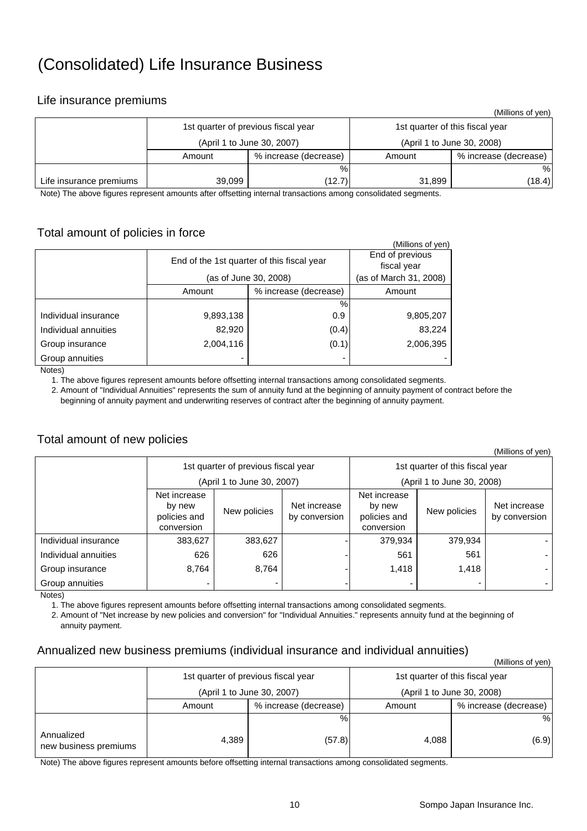# (Consolidated) Life Insurance Business

### Life insurance premiums

|                         |        |                                     |                                 | (Millions of yen)     |  |
|-------------------------|--------|-------------------------------------|---------------------------------|-----------------------|--|
|                         |        | 1st quarter of previous fiscal year | 1st quarter of this fiscal year |                       |  |
|                         |        | (April 1 to June 30, 2007)          | (April 1 to June 30, 2008)      |                       |  |
|                         | Amount | % increase (decrease)               | Amount                          | % increase (decrease) |  |
|                         |        | %                                   |                                 | %                     |  |
| Life insurance premiums | 39,099 | (12.7)                              | 31,899                          | (18.4)                |  |

Note) The above figures represent amounts after offsetting internal transactions among consolidated segments.

### Total amount of policies in force

| ----- ---- -- <u>-- ---- - -</u> --- - |                       |                                            |                   |
|----------------------------------------|-----------------------|--------------------------------------------|-------------------|
|                                        |                       |                                            | (Millions of yen) |
|                                        |                       | End of previous                            |                   |
|                                        |                       | End of the 1st quarter of this fiscal year | fiscal year       |
|                                        | (as of June 30, 2008) | (as of March 31, 2008)                     |                   |
|                                        | Amount                | % increase (decrease)                      | Amount            |
|                                        |                       | %                                          |                   |
| Individual insurance                   | 9,893,138             | 0.9                                        | 9,805,207         |
| Individual annuities                   | 82,920                | (0.4)                                      | 83,224            |
| Group insurance                        | 2,004,116             | (0.1)                                      | 2,006,395         |
| Group annuities                        |                       |                                            |                   |
| $N = 1 - 1$                            |                       |                                            |                   |

Notes)

1. The above figures represent amounts before offsetting internal transactions among consolidated segments.

 2. Amount of "Individual Annuities" represents the sum of annuity fund at the beginning of annuity payment of contract before the beginning of annuity payment and underwriting reserves of contract after the beginning of annuity payment.

### Total amount of new policies

| וויוס נוס טווטווויוויוויווי |                                                      |                                     |                               |                                                      |              |                               |  |
|-----------------------------|------------------------------------------------------|-------------------------------------|-------------------------------|------------------------------------------------------|--------------|-------------------------------|--|
|                             |                                                      | 1st quarter of previous fiscal year |                               | 1st quarter of this fiscal year                      |              |                               |  |
|                             |                                                      | (April 1 to June 30, 2007)          |                               | (April 1 to June 30, 2008)                           |              |                               |  |
|                             | Net increase<br>by new<br>policies and<br>conversion | New policies                        | Net increase<br>by conversion | Net increase<br>by new<br>policies and<br>conversion | New policies | Net increase<br>by conversion |  |
| Individual insurance        | 383,627                                              | 383,627                             |                               | 379,934                                              | 379,934      |                               |  |
| Individual annuities        | 626                                                  | 626                                 |                               | 561                                                  | 561          |                               |  |
| Group insurance             | 8,764                                                | 8,764                               |                               | 1,418                                                | 1,418        |                               |  |
| Group annuities             |                                                      |                                     |                               |                                                      |              |                               |  |

Notes)

1. The above figures represent amounts before offsetting internal transactions among consolidated segments.

 2. Amount of "Net increase by new policies and conversion" for "Individual Annuities." represents annuity fund at the beginning of annuity payment.

#### Annualized new business premiums (individual insurance and individual annuities)

|                                     |        |                                     |                            | (Millions of yen)               |  |
|-------------------------------------|--------|-------------------------------------|----------------------------|---------------------------------|--|
|                                     |        | 1st quarter of previous fiscal year |                            | 1st quarter of this fiscal year |  |
|                                     |        | (April 1 to June 30, 2007)          | (April 1 to June 30, 2008) |                                 |  |
|                                     | Amount | % increase (decrease)               | Amount                     | % increase (decrease)           |  |
|                                     |        | %                                   |                            | %                               |  |
| Annualized<br>new business premiums | 4,389  | (57.8)                              | 4,088                      | (6.9)                           |  |

Note) The above figures represent amounts before offsetting internal transactions among consolidated segments.

 $(Millione of von)$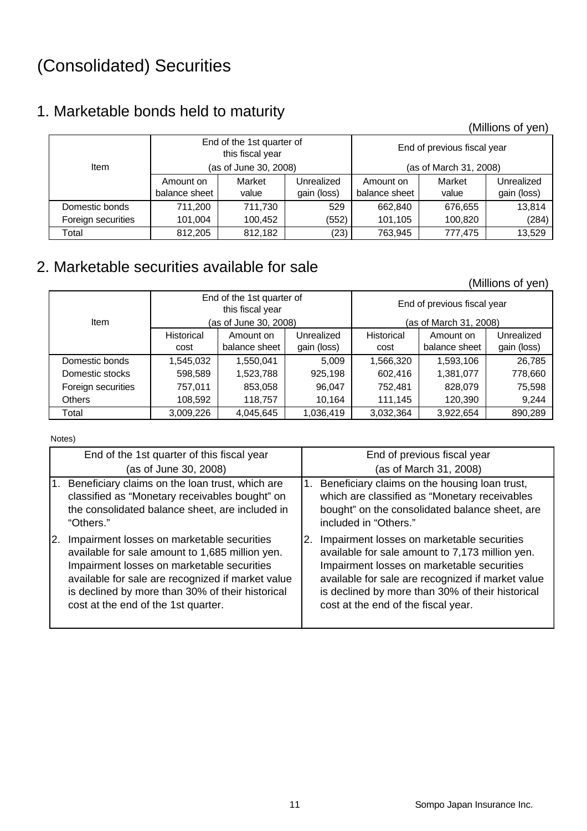# (Consolidated) Securities

# 1. Marketable bonds held to maturity

(Millions of yen)

|                    |               | End of the 1st quarter of<br>this fiscal year |             | End of previous fiscal year |                        |             |  |
|--------------------|---------------|-----------------------------------------------|-------------|-----------------------------|------------------------|-------------|--|
| <b>Item</b>        |               | (as of June 30, 2008)                         |             |                             | (as of March 31, 2008) |             |  |
|                    | Amount on     | Market                                        | Unrealized  | Amount on                   | Market                 | Unrealized  |  |
|                    | balance sheet | value                                         | gain (loss) | balance sheet               | value                  | gain (loss) |  |
| Domestic bonds     | 711.200       | 711.730                                       | 529         | 662.840                     | 676,655                | 13,814      |  |
| Foreign securities | 101,004       | 100,452                                       | (552)       | 101,105                     | 100,820                | (284)       |  |
| Total              | 812,205       | 812,182                                       | (23)        | 763,945                     | 777.475                | 13,529      |  |

# 2. Marketable securities available for sale

(Millions of yen)

| <b>Item</b>        |                   | End of the 1st quarter of<br>this fiscal year<br>(as of June 30, 2008) |             |                   | End of previous fiscal year<br>(as of March 31, 2008) |             |
|--------------------|-------------------|------------------------------------------------------------------------|-------------|-------------------|-------------------------------------------------------|-------------|
|                    | <b>Historical</b> | Amount on                                                              | Unrealized  | <b>Historical</b> | Amount on                                             | Unrealized  |
|                    | cost              | balance sheet                                                          | gain (loss) | cost              | balance sheet                                         | gain (loss) |
| Domestic bonds     | 1,545,032         | 1,550,041                                                              | 5,009       | 1,566,320         | 1,593,106                                             | 26,785      |
| Domestic stocks    | 598,589           | 1,523,788                                                              | 925,198     | 602,416           | 1,381,077                                             | 778,660     |
| Foreign securities | 757,011           | 853,058                                                                | 96,047      | 752,481           | 828,079                                               | 75,598      |
| <b>Others</b>      | 108,592           | 118,757                                                                | 10,164      | 111.145           | 120,390                                               | 9,244       |
| Total              | 3,009,226         | 4,045,645                                                              | 1,036,419   | 3,032,364         | 3,922,654                                             | 890.289     |

Notes)

| End of the 1st quarter of this fiscal year        | End of previous fiscal year                       |
|---------------------------------------------------|---------------------------------------------------|
| (as of June 30, 2008)                             | (as of March 31, 2008)                            |
| Beneficiary claims on the loan trust, which are   | Beneficiary claims on the housing loan trust,     |
| 1.                                                | 1.                                                |
| classified as "Monetary receivables bought" on    | which are classified as "Monetary receivables     |
| the consolidated balance sheet, are included in   | bought" on the consolidated balance sheet, are    |
| "Others."                                         | included in "Others."                             |
| Impairment losses on marketable securities        | Impairment losses on marketable securities        |
| I2.                                               | 2.                                                |
| available for sale amount to 1,685 million yen.   | available for sale amount to 7,173 million yen.   |
| Impairment losses on marketable securities        | Impairment losses on marketable securities        |
| available for sale are recognized if market value | available for sale are recognized if market value |
| is declined by more than 30% of their historical  | is declined by more than 30% of their historical  |
| cost at the end of the 1st quarter.               | cost at the end of the fiscal year.               |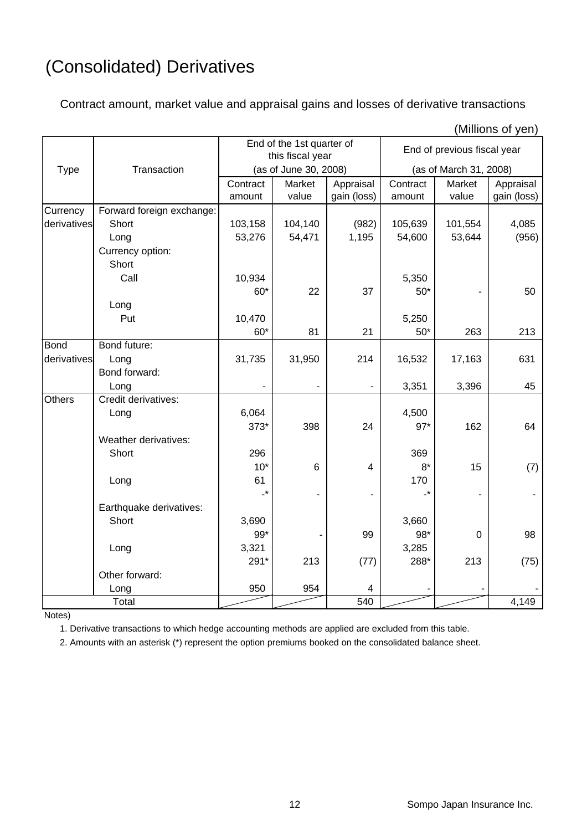# (Consolidated) Derivatives

Contract amount, market value and appraisal gains and losses of derivative transactions

| (IVIIIIIONS OF YEN) |                           |          |                                               |                |                 |                             |             |  |
|---------------------|---------------------------|----------|-----------------------------------------------|----------------|-----------------|-----------------------------|-------------|--|
|                     |                           |          | End of the 1st quarter of<br>this fiscal year |                |                 | End of previous fiscal year |             |  |
| <b>Type</b>         | Transaction               |          | (as of June 30, 2008)                         |                |                 | (as of March 31, 2008)      |             |  |
|                     |                           | Contract | Market                                        | Appraisal      | Contract        | Market                      | Appraisal   |  |
|                     |                           | amount   | value                                         | gain (loss)    | amount          | value                       | gain (loss) |  |
| Currency            | Forward foreign exchange: |          |                                               |                |                 |                             |             |  |
| derivatives         | Short                     | 103,158  | 104,140                                       | (982)          | 105,639         | 101,554                     | 4,085       |  |
|                     | Long                      | 53,276   | 54,471                                        | 1,195          | 54,600          | 53,644                      | (956)       |  |
|                     | Currency option:          |          |                                               |                |                 |                             |             |  |
|                     | Short                     |          |                                               |                |                 |                             |             |  |
|                     | Call                      | 10,934   |                                               |                | 5,350           |                             |             |  |
|                     |                           | $60*$    | 22                                            | 37             | $50*$           |                             | 50          |  |
|                     | Long                      |          |                                               |                |                 |                             |             |  |
|                     | Put                       | 10,470   |                                               |                | 5,250           |                             |             |  |
|                     |                           | $60*$    | 81                                            | 21             | $50*$           | 263                         | 213         |  |
| <b>Bond</b>         | Bond future:              |          |                                               |                |                 |                             |             |  |
| derivatives         | Long                      | 31,735   | 31,950                                        | 214            | 16,532          | 17,163                      | 631         |  |
|                     | Bond forward:             |          |                                               |                |                 |                             |             |  |
|                     | Long                      |          |                                               |                | 3,351           | 3,396                       | 45          |  |
| <b>Others</b>       | Credit derivatives:       |          |                                               |                |                 |                             |             |  |
|                     | Long                      | 6,064    |                                               |                | 4,500           |                             |             |  |
|                     |                           | 373*     | 398                                           | 24             | $97*$           | 162                         | 64          |  |
|                     | Weather derivatives:      |          |                                               |                |                 |                             |             |  |
|                     | Short                     | 296      |                                               |                | 369             |                             |             |  |
|                     |                           | $10*$    | 6                                             | $\overline{4}$ | $8*$            | 15                          | (7)         |  |
|                     | Long                      | 61       |                                               |                | 170             |                             |             |  |
|                     |                           | -*       | $\blacksquare$                                |                | $\cdot^{\star}$ |                             |             |  |
|                     | Earthquake derivatives:   |          |                                               |                |                 |                             |             |  |
|                     | Short                     | 3,690    |                                               |                | 3,660           |                             |             |  |
|                     |                           | $99*$    |                                               | 99             | 98*             | $\overline{0}$              | 98          |  |
|                     | Long                      | 3,321    |                                               |                | 3,285           |                             |             |  |
|                     |                           | 291*     | 213                                           | (77)           | 288*            | 213                         | (75)        |  |
|                     | Other forward:            |          |                                               |                |                 |                             |             |  |
|                     | Long                      | 950      | 954                                           | 4              |                 |                             |             |  |
|                     | Total                     |          |                                               | 540            |                 |                             | 4,149       |  |

 $(Millione of von)$ 

Notes)

1. Derivative transactions to which hedge accounting methods are applied are excluded from this table.

2. Amounts with an asterisk (\*) represent the option premiums booked on the consolidated balance sheet.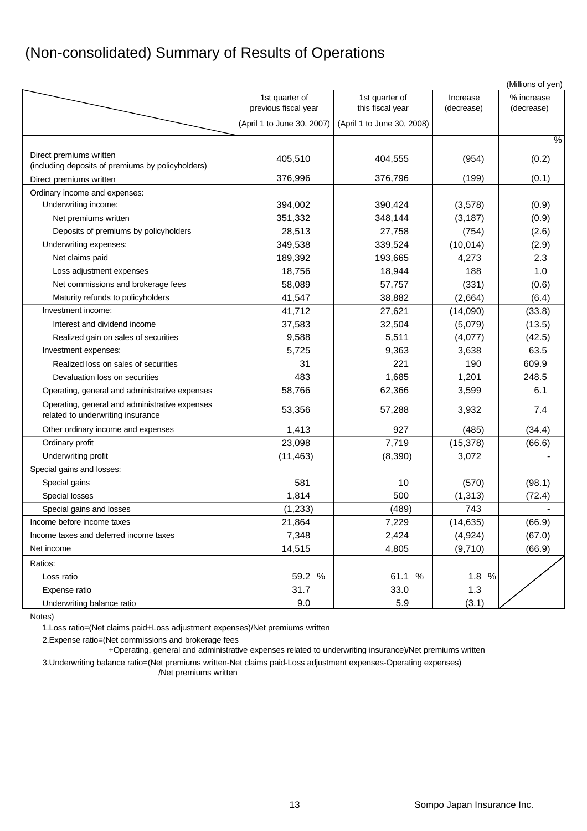# (Non-consolidated) Summary of Results of Operations

| 1st quarter of<br>1st quarter of<br>% increase<br>Increase<br>previous fiscal year<br>this fiscal year<br>(decrease)<br>(decrease)<br>(April 1 to June 30, 2008)<br>(April 1 to June 30, 2007)<br>%<br>Direct premiums written<br>405,510<br>404,555<br>(0.2)<br>(954)<br>(including deposits of premiums by policyholders)<br>376,796<br>(199)<br>(0.1)<br>376,996<br>Direct premiums written<br>Ordinary income and expenses:<br>Underwriting income:<br>390,424<br>(0.9)<br>394,002<br>(3,578)<br>348,144<br>(0.9)<br>351,332<br>(3, 187)<br>Net premiums written<br>27,758<br>28,513<br>(754)<br>(2.6)<br>Deposits of premiums by policyholders<br>339,524<br>(10, 014)<br>349,538<br>(2.9)<br>Underwriting expenses:<br>193,665<br>2.3<br>189,392<br>4,273<br>Net claims paid<br>18,756<br>18,944<br>188<br>1.0<br>Loss adjustment expenses<br>57,757<br>58,089<br>(331)<br>(0.6)<br>Net commissions and brokerage fees<br>41,547<br>38,882<br>(2,664)<br>(6.4)<br>Maturity refunds to policyholders<br>Investment income:<br>41,712<br>27,621<br>(33.8)<br>(14,090)<br>(13.5)<br>Interest and dividend income<br>37,583<br>32,504<br>(5,079)<br>9,588<br>5,511<br>(4,077)<br>(42.5)<br>Realized gain on sales of securities<br>5,725<br>63.5<br>9,363<br>3,638<br>Investment expenses:<br>31<br>221<br>190<br>609.9<br>Realized loss on sales of securities<br>483<br>248.5<br>1,685<br>1,201<br>Devaluation loss on securities<br>58,766<br>62,366<br>6.1<br>3,599<br>Operating, general and administrative expenses<br>Operating, general and administrative expenses<br>53,356<br>57,288<br>7.4<br>3,932<br>related to underwriting insurance<br>927<br>1,413<br>(485)<br>(34.4)<br>Other ordinary income and expenses<br>7,719<br>(66.6)<br>Ordinary profit<br>23,098<br>(15, 378)<br>(11, 463)<br>(8, 390)<br>Underwriting profit<br>3,072<br>Special gains and losses:<br>581<br>10<br>(570)<br>(98.1)<br>Special gains<br>1,814<br>Special losses<br>500<br>(1, 313)<br>(72.4)<br>(1, 233)<br>(489)<br>743<br>Special gains and losses<br>21,864<br>7,229<br>(14, 635)<br>(66.9)<br>Income before income taxes<br>7,348<br>Income taxes and deferred income taxes<br>2,424<br>(4, 924)<br>(67.0)<br>14,515<br>4,805<br>(9,710)<br>(66.9)<br>Net income<br>Ratios:<br>59.2 %<br>61.1 %<br>1.8%<br>Loss ratio<br>31.7<br>33.0<br>1.3<br>Expense ratio |                            |     |     |       | (Millions of yen) |
|------------------------------------------------------------------------------------------------------------------------------------------------------------------------------------------------------------------------------------------------------------------------------------------------------------------------------------------------------------------------------------------------------------------------------------------------------------------------------------------------------------------------------------------------------------------------------------------------------------------------------------------------------------------------------------------------------------------------------------------------------------------------------------------------------------------------------------------------------------------------------------------------------------------------------------------------------------------------------------------------------------------------------------------------------------------------------------------------------------------------------------------------------------------------------------------------------------------------------------------------------------------------------------------------------------------------------------------------------------------------------------------------------------------------------------------------------------------------------------------------------------------------------------------------------------------------------------------------------------------------------------------------------------------------------------------------------------------------------------------------------------------------------------------------------------------------------------------------------------------------------------------------------------------------------------------------------------------------------------------------------------------------------------------------------------------------------------------------------------------------------------------------------------------------------------------------------------------------------------------------------------------------------------------------------------------------------------------------------------------|----------------------------|-----|-----|-------|-------------------|
|                                                                                                                                                                                                                                                                                                                                                                                                                                                                                                                                                                                                                                                                                                                                                                                                                                                                                                                                                                                                                                                                                                                                                                                                                                                                                                                                                                                                                                                                                                                                                                                                                                                                                                                                                                                                                                                                                                                                                                                                                                                                                                                                                                                                                                                                                                                                                                  |                            |     |     |       |                   |
|                                                                                                                                                                                                                                                                                                                                                                                                                                                                                                                                                                                                                                                                                                                                                                                                                                                                                                                                                                                                                                                                                                                                                                                                                                                                                                                                                                                                                                                                                                                                                                                                                                                                                                                                                                                                                                                                                                                                                                                                                                                                                                                                                                                                                                                                                                                                                                  |                            |     |     |       |                   |
|                                                                                                                                                                                                                                                                                                                                                                                                                                                                                                                                                                                                                                                                                                                                                                                                                                                                                                                                                                                                                                                                                                                                                                                                                                                                                                                                                                                                                                                                                                                                                                                                                                                                                                                                                                                                                                                                                                                                                                                                                                                                                                                                                                                                                                                                                                                                                                  |                            |     |     |       |                   |
|                                                                                                                                                                                                                                                                                                                                                                                                                                                                                                                                                                                                                                                                                                                                                                                                                                                                                                                                                                                                                                                                                                                                                                                                                                                                                                                                                                                                                                                                                                                                                                                                                                                                                                                                                                                                                                                                                                                                                                                                                                                                                                                                                                                                                                                                                                                                                                  |                            |     |     |       |                   |
|                                                                                                                                                                                                                                                                                                                                                                                                                                                                                                                                                                                                                                                                                                                                                                                                                                                                                                                                                                                                                                                                                                                                                                                                                                                                                                                                                                                                                                                                                                                                                                                                                                                                                                                                                                                                                                                                                                                                                                                                                                                                                                                                                                                                                                                                                                                                                                  |                            |     |     |       |                   |
|                                                                                                                                                                                                                                                                                                                                                                                                                                                                                                                                                                                                                                                                                                                                                                                                                                                                                                                                                                                                                                                                                                                                                                                                                                                                                                                                                                                                                                                                                                                                                                                                                                                                                                                                                                                                                                                                                                                                                                                                                                                                                                                                                                                                                                                                                                                                                                  |                            |     |     |       |                   |
|                                                                                                                                                                                                                                                                                                                                                                                                                                                                                                                                                                                                                                                                                                                                                                                                                                                                                                                                                                                                                                                                                                                                                                                                                                                                                                                                                                                                                                                                                                                                                                                                                                                                                                                                                                                                                                                                                                                                                                                                                                                                                                                                                                                                                                                                                                                                                                  |                            |     |     |       |                   |
|                                                                                                                                                                                                                                                                                                                                                                                                                                                                                                                                                                                                                                                                                                                                                                                                                                                                                                                                                                                                                                                                                                                                                                                                                                                                                                                                                                                                                                                                                                                                                                                                                                                                                                                                                                                                                                                                                                                                                                                                                                                                                                                                                                                                                                                                                                                                                                  |                            |     |     |       |                   |
|                                                                                                                                                                                                                                                                                                                                                                                                                                                                                                                                                                                                                                                                                                                                                                                                                                                                                                                                                                                                                                                                                                                                                                                                                                                                                                                                                                                                                                                                                                                                                                                                                                                                                                                                                                                                                                                                                                                                                                                                                                                                                                                                                                                                                                                                                                                                                                  |                            |     |     |       |                   |
|                                                                                                                                                                                                                                                                                                                                                                                                                                                                                                                                                                                                                                                                                                                                                                                                                                                                                                                                                                                                                                                                                                                                                                                                                                                                                                                                                                                                                                                                                                                                                                                                                                                                                                                                                                                                                                                                                                                                                                                                                                                                                                                                                                                                                                                                                                                                                                  |                            |     |     |       |                   |
|                                                                                                                                                                                                                                                                                                                                                                                                                                                                                                                                                                                                                                                                                                                                                                                                                                                                                                                                                                                                                                                                                                                                                                                                                                                                                                                                                                                                                                                                                                                                                                                                                                                                                                                                                                                                                                                                                                                                                                                                                                                                                                                                                                                                                                                                                                                                                                  |                            |     |     |       |                   |
|                                                                                                                                                                                                                                                                                                                                                                                                                                                                                                                                                                                                                                                                                                                                                                                                                                                                                                                                                                                                                                                                                                                                                                                                                                                                                                                                                                                                                                                                                                                                                                                                                                                                                                                                                                                                                                                                                                                                                                                                                                                                                                                                                                                                                                                                                                                                                                  |                            |     |     |       |                   |
|                                                                                                                                                                                                                                                                                                                                                                                                                                                                                                                                                                                                                                                                                                                                                                                                                                                                                                                                                                                                                                                                                                                                                                                                                                                                                                                                                                                                                                                                                                                                                                                                                                                                                                                                                                                                                                                                                                                                                                                                                                                                                                                                                                                                                                                                                                                                                                  |                            |     |     |       |                   |
|                                                                                                                                                                                                                                                                                                                                                                                                                                                                                                                                                                                                                                                                                                                                                                                                                                                                                                                                                                                                                                                                                                                                                                                                                                                                                                                                                                                                                                                                                                                                                                                                                                                                                                                                                                                                                                                                                                                                                                                                                                                                                                                                                                                                                                                                                                                                                                  |                            |     |     |       |                   |
|                                                                                                                                                                                                                                                                                                                                                                                                                                                                                                                                                                                                                                                                                                                                                                                                                                                                                                                                                                                                                                                                                                                                                                                                                                                                                                                                                                                                                                                                                                                                                                                                                                                                                                                                                                                                                                                                                                                                                                                                                                                                                                                                                                                                                                                                                                                                                                  |                            |     |     |       |                   |
|                                                                                                                                                                                                                                                                                                                                                                                                                                                                                                                                                                                                                                                                                                                                                                                                                                                                                                                                                                                                                                                                                                                                                                                                                                                                                                                                                                                                                                                                                                                                                                                                                                                                                                                                                                                                                                                                                                                                                                                                                                                                                                                                                                                                                                                                                                                                                                  |                            |     |     |       |                   |
|                                                                                                                                                                                                                                                                                                                                                                                                                                                                                                                                                                                                                                                                                                                                                                                                                                                                                                                                                                                                                                                                                                                                                                                                                                                                                                                                                                                                                                                                                                                                                                                                                                                                                                                                                                                                                                                                                                                                                                                                                                                                                                                                                                                                                                                                                                                                                                  |                            |     |     |       |                   |
|                                                                                                                                                                                                                                                                                                                                                                                                                                                                                                                                                                                                                                                                                                                                                                                                                                                                                                                                                                                                                                                                                                                                                                                                                                                                                                                                                                                                                                                                                                                                                                                                                                                                                                                                                                                                                                                                                                                                                                                                                                                                                                                                                                                                                                                                                                                                                                  |                            |     |     |       |                   |
|                                                                                                                                                                                                                                                                                                                                                                                                                                                                                                                                                                                                                                                                                                                                                                                                                                                                                                                                                                                                                                                                                                                                                                                                                                                                                                                                                                                                                                                                                                                                                                                                                                                                                                                                                                                                                                                                                                                                                                                                                                                                                                                                                                                                                                                                                                                                                                  |                            |     |     |       |                   |
|                                                                                                                                                                                                                                                                                                                                                                                                                                                                                                                                                                                                                                                                                                                                                                                                                                                                                                                                                                                                                                                                                                                                                                                                                                                                                                                                                                                                                                                                                                                                                                                                                                                                                                                                                                                                                                                                                                                                                                                                                                                                                                                                                                                                                                                                                                                                                                  |                            |     |     |       |                   |
|                                                                                                                                                                                                                                                                                                                                                                                                                                                                                                                                                                                                                                                                                                                                                                                                                                                                                                                                                                                                                                                                                                                                                                                                                                                                                                                                                                                                                                                                                                                                                                                                                                                                                                                                                                                                                                                                                                                                                                                                                                                                                                                                                                                                                                                                                                                                                                  |                            |     |     |       |                   |
|                                                                                                                                                                                                                                                                                                                                                                                                                                                                                                                                                                                                                                                                                                                                                                                                                                                                                                                                                                                                                                                                                                                                                                                                                                                                                                                                                                                                                                                                                                                                                                                                                                                                                                                                                                                                                                                                                                                                                                                                                                                                                                                                                                                                                                                                                                                                                                  |                            |     |     |       |                   |
|                                                                                                                                                                                                                                                                                                                                                                                                                                                                                                                                                                                                                                                                                                                                                                                                                                                                                                                                                                                                                                                                                                                                                                                                                                                                                                                                                                                                                                                                                                                                                                                                                                                                                                                                                                                                                                                                                                                                                                                                                                                                                                                                                                                                                                                                                                                                                                  |                            |     |     |       |                   |
|                                                                                                                                                                                                                                                                                                                                                                                                                                                                                                                                                                                                                                                                                                                                                                                                                                                                                                                                                                                                                                                                                                                                                                                                                                                                                                                                                                                                                                                                                                                                                                                                                                                                                                                                                                                                                                                                                                                                                                                                                                                                                                                                                                                                                                                                                                                                                                  |                            |     |     |       |                   |
|                                                                                                                                                                                                                                                                                                                                                                                                                                                                                                                                                                                                                                                                                                                                                                                                                                                                                                                                                                                                                                                                                                                                                                                                                                                                                                                                                                                                                                                                                                                                                                                                                                                                                                                                                                                                                                                                                                                                                                                                                                                                                                                                                                                                                                                                                                                                                                  |                            |     |     |       |                   |
|                                                                                                                                                                                                                                                                                                                                                                                                                                                                                                                                                                                                                                                                                                                                                                                                                                                                                                                                                                                                                                                                                                                                                                                                                                                                                                                                                                                                                                                                                                                                                                                                                                                                                                                                                                                                                                                                                                                                                                                                                                                                                                                                                                                                                                                                                                                                                                  |                            |     |     |       |                   |
|                                                                                                                                                                                                                                                                                                                                                                                                                                                                                                                                                                                                                                                                                                                                                                                                                                                                                                                                                                                                                                                                                                                                                                                                                                                                                                                                                                                                                                                                                                                                                                                                                                                                                                                                                                                                                                                                                                                                                                                                                                                                                                                                                                                                                                                                                                                                                                  |                            |     |     |       |                   |
|                                                                                                                                                                                                                                                                                                                                                                                                                                                                                                                                                                                                                                                                                                                                                                                                                                                                                                                                                                                                                                                                                                                                                                                                                                                                                                                                                                                                                                                                                                                                                                                                                                                                                                                                                                                                                                                                                                                                                                                                                                                                                                                                                                                                                                                                                                                                                                  |                            |     |     |       |                   |
|                                                                                                                                                                                                                                                                                                                                                                                                                                                                                                                                                                                                                                                                                                                                                                                                                                                                                                                                                                                                                                                                                                                                                                                                                                                                                                                                                                                                                                                                                                                                                                                                                                                                                                                                                                                                                                                                                                                                                                                                                                                                                                                                                                                                                                                                                                                                                                  |                            |     |     |       |                   |
|                                                                                                                                                                                                                                                                                                                                                                                                                                                                                                                                                                                                                                                                                                                                                                                                                                                                                                                                                                                                                                                                                                                                                                                                                                                                                                                                                                                                                                                                                                                                                                                                                                                                                                                                                                                                                                                                                                                                                                                                                                                                                                                                                                                                                                                                                                                                                                  |                            |     |     |       |                   |
|                                                                                                                                                                                                                                                                                                                                                                                                                                                                                                                                                                                                                                                                                                                                                                                                                                                                                                                                                                                                                                                                                                                                                                                                                                                                                                                                                                                                                                                                                                                                                                                                                                                                                                                                                                                                                                                                                                                                                                                                                                                                                                                                                                                                                                                                                                                                                                  |                            |     |     |       |                   |
|                                                                                                                                                                                                                                                                                                                                                                                                                                                                                                                                                                                                                                                                                                                                                                                                                                                                                                                                                                                                                                                                                                                                                                                                                                                                                                                                                                                                                                                                                                                                                                                                                                                                                                                                                                                                                                                                                                                                                                                                                                                                                                                                                                                                                                                                                                                                                                  |                            |     |     |       |                   |
|                                                                                                                                                                                                                                                                                                                                                                                                                                                                                                                                                                                                                                                                                                                                                                                                                                                                                                                                                                                                                                                                                                                                                                                                                                                                                                                                                                                                                                                                                                                                                                                                                                                                                                                                                                                                                                                                                                                                                                                                                                                                                                                                                                                                                                                                                                                                                                  |                            |     |     |       |                   |
|                                                                                                                                                                                                                                                                                                                                                                                                                                                                                                                                                                                                                                                                                                                                                                                                                                                                                                                                                                                                                                                                                                                                                                                                                                                                                                                                                                                                                                                                                                                                                                                                                                                                                                                                                                                                                                                                                                                                                                                                                                                                                                                                                                                                                                                                                                                                                                  |                            |     |     |       |                   |
|                                                                                                                                                                                                                                                                                                                                                                                                                                                                                                                                                                                                                                                                                                                                                                                                                                                                                                                                                                                                                                                                                                                                                                                                                                                                                                                                                                                                                                                                                                                                                                                                                                                                                                                                                                                                                                                                                                                                                                                                                                                                                                                                                                                                                                                                                                                                                                  |                            |     |     |       |                   |
|                                                                                                                                                                                                                                                                                                                                                                                                                                                                                                                                                                                                                                                                                                                                                                                                                                                                                                                                                                                                                                                                                                                                                                                                                                                                                                                                                                                                                                                                                                                                                                                                                                                                                                                                                                                                                                                                                                                                                                                                                                                                                                                                                                                                                                                                                                                                                                  |                            |     |     |       |                   |
|                                                                                                                                                                                                                                                                                                                                                                                                                                                                                                                                                                                                                                                                                                                                                                                                                                                                                                                                                                                                                                                                                                                                                                                                                                                                                                                                                                                                                                                                                                                                                                                                                                                                                                                                                                                                                                                                                                                                                                                                                                                                                                                                                                                                                                                                                                                                                                  | Underwriting balance ratio | 9.0 | 5.9 | (3.1) |                   |

Notes)

1.Loss ratio=(Net claims paid+Loss adjustment expenses)/Net premiums written

2.Expense ratio=(Net commissions and brokerage fees

+Operating, general and administrative expenses related to underwriting insurance)/Net premiums written

3.Underwriting balance ratio=(Net premiums written-Net claims paid-Loss adjustment expenses-Operating expenses) /Net premiums written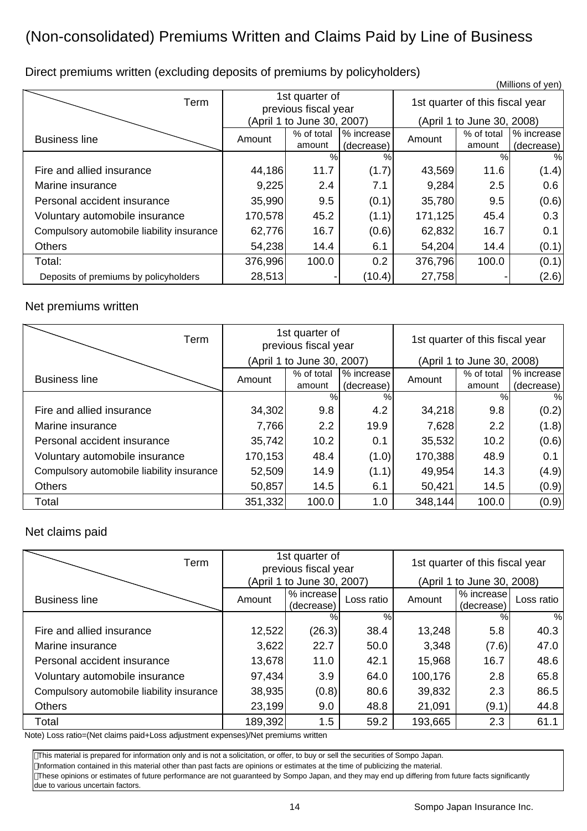# (Non-consolidated) Premiums Written and Claims Paid by Line of Business

 (Millions of yen) Term 1st quarter of<br>previous fiscal year 1st quarter of this fiscal year (April 1 to June 30, 2007) (April 1 to June 30, 2008) Business line **Amount** Amount **was a set of total** amount % increase (decrease) Amount % of total amount % increase (decrease) % % % % Fire and allied insurance  $\begin{vmatrix} 44,186 & 11.7 & (1.7) & 43,569 & 11.6 \end{vmatrix}$  (1.4) Marine insurance  $\vert$  9,225 2.4 | 7.1 | 9,284 2.5 | 0.6 Personal accident insurance  $\begin{vmatrix} 35,990 & 9.5 & (0.1) & 35,780 & 9.5 \end{vmatrix}$  (0.6) Voluntary automobile insurance 170,578 45.2 (1.1) 171,125 45.4 0.3 Compulsory automobile liability insurance  $\begin{vmatrix} 62,776 & 16.7 & 0.6 \end{vmatrix}$  62,832 16.7 0.1 Others 54,238 14.4 6.1 54,204 14.4 (0.1) Total: 376,996 100.0 0.2 376,796 100.0 (0.1) Deposits of premiums by policyholders  $\begin{vmatrix} 28,513 & - \end{vmatrix}$  (10.4) 27,758 - (2.6)

Direct premiums written (excluding deposits of premiums by policyholders)

### Net premiums written

| Term                                      | 1st quarter of<br>previous fiscal year |                            | 1st quarter of this fiscal year |         |                            |            |
|-------------------------------------------|----------------------------------------|----------------------------|---------------------------------|---------|----------------------------|------------|
|                                           |                                        | (April 1 to June 30, 2007) |                                 |         | (April 1 to June 30, 2008) |            |
| <b>Business line</b>                      | Amount                                 | % of total                 | % increase                      | Amount  | % of total                 | % increase |
|                                           |                                        | amount                     | (decrease)                      |         | amount                     | (decrease) |
|                                           |                                        | %                          | %                               |         | %                          | %          |
| Fire and allied insurance                 | 34,302                                 | 9.8                        | 4.2                             | 34,218  | 9.8                        | (0.2)      |
| Marine insurance                          | 7,766                                  | 2.2                        | 19.9                            | 7,628   | 2.2                        | (1.8)      |
| Personal accident insurance               | 35,742                                 | 10.2                       | 0.1                             | 35,532  | 10.2                       | (0.6)      |
| Voluntary automobile insurance            | 170,153                                | 48.4                       | (1.0)                           | 170,388 | 48.9                       | 0.1        |
| Compulsory automobile liability insurance | 52,509                                 | 14.9                       | (1.1)                           | 49,954  | 14.3                       | (4.9)      |
| Others                                    | 50,857                                 | 14.5                       | 6.1                             | 50,421  | 14.5                       | (0.9)      |
| Total                                     | 351,332                                | 100.0                      | 1.0                             | 348,144 | 100.0                      | (0.9)      |

### Net claims paid

| Term                                      | 1st quarter of<br>previous fiscal year<br>(April 1 to June 30, 2007) |                          | 1st quarter of this fiscal year<br>(April 1 to June 30, 2008) |         |                          |            |
|-------------------------------------------|----------------------------------------------------------------------|--------------------------|---------------------------------------------------------------|---------|--------------------------|------------|
| <b>Business line</b>                      | Amount                                                               | % increase<br>(decrease) | Loss ratio                                                    | Amount  | % increase<br>(decrease) | Loss ratio |
|                                           |                                                                      | %                        | %                                                             |         | %                        | %          |
| Fire and allied insurance                 | 12,522                                                               | (26.3)                   | 38.4                                                          | 13,248  | 5.8                      | 40.3       |
| Marine insurance                          | 3,622                                                                | 22.7                     | 50.0                                                          | 3,348   | (7.6)                    | 47.0       |
| Personal accident insurance               | 13,678                                                               | 11.0                     | 42.1                                                          | 15,968  | 16.7                     | 48.6       |
| Voluntary automobile insurance            | 97,434                                                               | 3.9                      | 64.0                                                          | 100,176 | 2.8                      | 65.8       |
| Compulsory automobile liability insurance | 38,935                                                               | (0.8)                    | 80.6                                                          | 39,832  | 2.3                      | 86.5       |
| <b>Others</b>                             | 23,199                                                               | 9.0                      | 48.8                                                          | 21,091  | (9.1)                    | 44.8       |
| Total                                     | 189,392                                                              | 1.5                      | 59.2                                                          | 193,665 | 2.3                      | 61.1       |

Note) Loss ratio=(Net claims paid+Loss adjustment expenses)/Net premiums written

This material is prepared for information only and is not a solicitation, or offer, to buy or sell the securities of Sompo Japan.

Information contained in this material other than past facts are opinions or estimates at the time of publicizing the material.

These opinions or estimates of future performance are not guaranteed by Sompo Japan, and they may end up differing from future facts significantly due to various uncertain factors.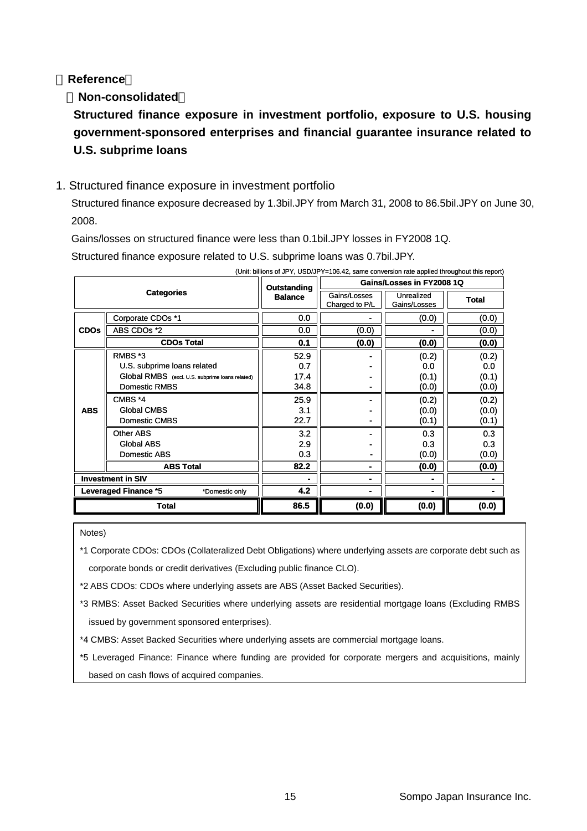### **Reference**

### **Non-consolidated**

**Structured finance exposure in investment portfolio, exposure to U.S. housing government-sponsored enterprises and financial guarantee insurance related to U.S. subprime loans**

### 1. Structured finance exposure in investment portfolio

Structured finance exposure decreased by 1.3bil.JPY from March 31, 2008 to 86.5bil.JPY on June 30, 2008.

Gains/losses on structured finance were less than 0.1bil.JPY losses in FY2008 1Q.

Structured finance exposure related to U.S. subprime loans was 0.7bil.JPY.

| (Unit: billions of JPY, USD/JPY=106.42, same conversion rate applied throughout this report) |                                                 |                |                                |                            |              |  |
|----------------------------------------------------------------------------------------------|-------------------------------------------------|----------------|--------------------------------|----------------------------|--------------|--|
| <b>Categories</b>                                                                            |                                                 | Outstanding    | Gains/Losses in FY2008 1Q      |                            |              |  |
|                                                                                              |                                                 | <b>Balance</b> | Gains/Losses<br>Charged to P/L | Unrealized<br>Gains/Losses | <b>Total</b> |  |
|                                                                                              | Corporate CDOs *1                               | 0.0            |                                | (0.0)                      | (0.0)        |  |
| <b>CDOs</b>                                                                                  | ABS CDOs *2                                     | 0.0            | (0.0)                          |                            | (0.0)        |  |
|                                                                                              | <b>CDOs Total</b>                               | 0.1            | (0.0)                          | (0.0)                      | (0.0)        |  |
|                                                                                              | RMBS *3                                         | 52.9           |                                | (0.2)                      | (0.2)        |  |
|                                                                                              | U.S. subprime loans related                     | 0.7            |                                | 0.0                        | 0.0          |  |
| <b>ABS</b>                                                                                   | Global RMBS (excl. U.S. subprime loans related) | 17.4           | -                              | (0.1)                      | (0.1)        |  |
|                                                                                              | Domestic RMBS                                   | 34.8           | ٠                              | (0.0)                      | (0.0)        |  |
|                                                                                              | CMBS *4                                         | 25.9           | ۰                              | (0.2)                      | (0.2)        |  |
|                                                                                              | Global CMBS                                     | 3.1            | $\blacksquare$                 | (0.0)                      | (0.0)        |  |
|                                                                                              | Domestic CMBS                                   | 22.7           | $\blacksquare$                 | (0.1)                      | (0.1)        |  |
|                                                                                              | Other ABS                                       | 3.2            |                                | 0.3                        | 0.3          |  |
|                                                                                              | Global ABS                                      | 2.9            |                                | 0.3                        | 0.3          |  |
|                                                                                              | Domestic ABS                                    | 0.3            | -                              | (0.0)                      | (0.0)        |  |
|                                                                                              | <b>ABS Total</b>                                | 82.2           | ۰                              | (0.0)                      | (0.0)        |  |
| <b>Investment in SIV</b>                                                                     |                                                 |                | ۰                              |                            |              |  |
| <b>Leveraged Finance *5</b><br>*Domestic only                                                |                                                 | 4.2            |                                |                            |              |  |
| <b>Total</b>                                                                                 |                                                 | 86.5           | (0.0)                          | (0.0)                      | (0.0)        |  |

Notes)

\*1 Corporate CDOs: CDOs (Collateralized Debt Obligations) where underlying assets are corporate debt such as corporate bonds or credit derivatives (Excluding public finance CLO).

\*2 ABS CDOs: CDOs where underlying assets are ABS (Asset Backed Securities).

\*3 RMBS: Asset Backed Securities where underlying assets are residential mortgage loans (Excluding RMBS issued by government sponsored enterprises).

\*4 CMBS: Asset Backed Securities where underlying assets are commercial mortgage loans.

\*5 Leveraged Finance: Finance where funding are provided for corporate mergers and acquisitions, mainly based on cash flows of acquired companies.